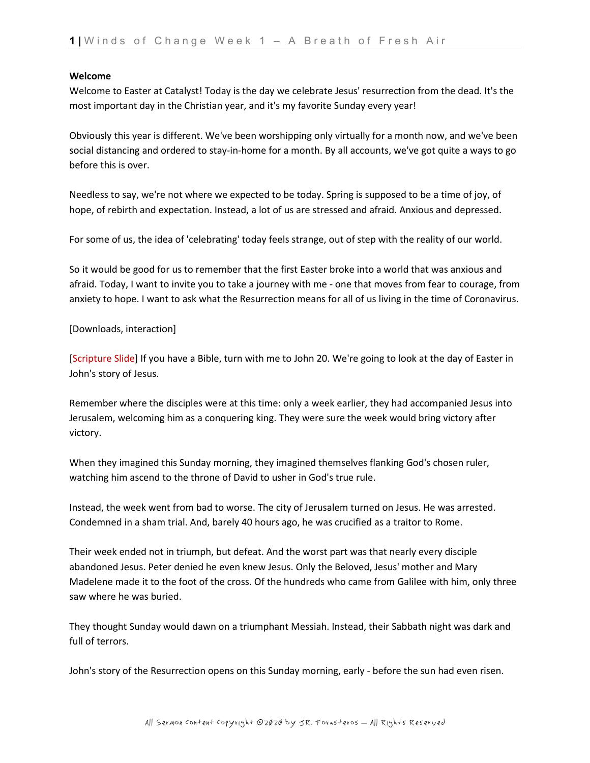#### **Welcome**

Welcome to Easter at Catalyst! Today is the day we celebrate Jesus' resurrection from the dead. It's the most important day in the Christian year, and it's my favorite Sunday every year!

Obviously this year is different. We've been worshipping only virtually for a month now, and we've been social distancing and ordered to stay-in-home for a month. By all accounts, we've got quite a ways to go before this is over.

Needless to say, we're not where we expected to be today. Spring is supposed to be a time of joy, of hope, of rebirth and expectation. Instead, a lot of us are stressed and afraid. Anxious and depressed.

For some of us, the idea of 'celebrating' today feels strange, out of step with the reality of our world.

So it would be good for us to remember that the first Easter broke into a world that was anxious and afraid. Today, I want to invite you to take a journey with me - one that moves from fear to courage, from anxiety to hope. I want to ask what the Resurrection means for all of us living in the time of Coronavirus.

# [Downloads, interaction]

[Scripture Slide] If you have a Bible, turn with me to John 20. We're going to look at the day of Easter in John's story of Jesus.

Remember where the disciples were at this time: only a week earlier, they had accompanied Jesus into Jerusalem, welcoming him as a conquering king. They were sure the week would bring victory after victory.

When they imagined this Sunday morning, they imagined themselves flanking God's chosen ruler, watching him ascend to the throne of David to usher in God's true rule.

Instead, the week went from bad to worse. The city of Jerusalem turned on Jesus. He was arrested. Condemned in a sham trial. And, barely 40 hours ago, he was crucified as a traitor to Rome.

Their week ended not in triumph, but defeat. And the worst part was that nearly every disciple abandoned Jesus. Peter denied he even knew Jesus. Only the Beloved, Jesus' mother and Mary Madelene made it to the foot of the cross. Of the hundreds who came from Galilee with him, only three saw where he was buried.

They thought Sunday would dawn on a triumphant Messiah. Instead, their Sabbath night was dark and full of terrors.

John's story of the Resurrection opens on this Sunday morning, early - before the sun had even risen.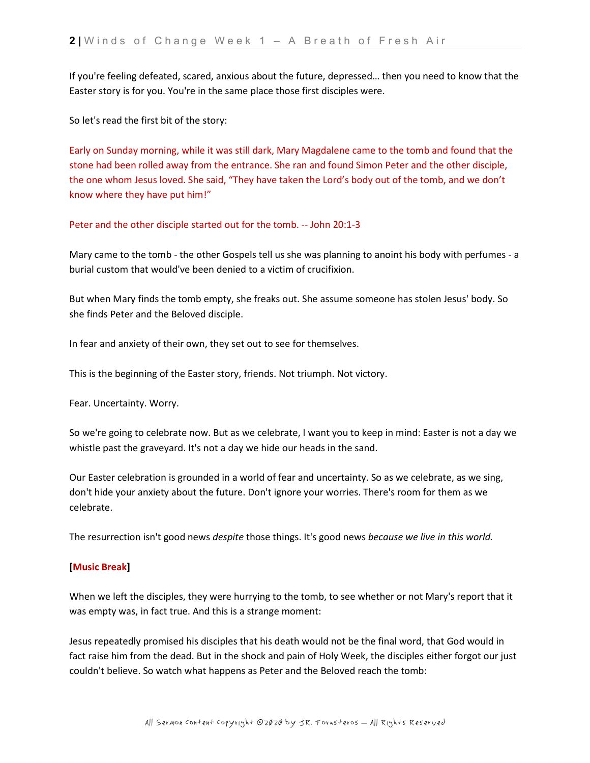If you're feeling defeated, scared, anxious about the future, depressed… then you need to know that the Easter story is for you. You're in the same place those first disciples were.

So let's read the first bit of the story:

Early on Sunday morning, while it was still dark, Mary Magdalene came to the tomb and found that the stone had been rolled away from the entrance. She ran and found Simon Peter and the other disciple, the one whom Jesus loved. She said, "They have taken the Lord's body out of the tomb, and we don't know where they have put him!"

Peter and the other disciple started out for the tomb. -- John 20:1-3

Mary came to the tomb - the other Gospels tell us she was planning to anoint his body with perfumes - a burial custom that would've been denied to a victim of crucifixion.

But when Mary finds the tomb empty, she freaks out. She assume someone has stolen Jesus' body. So she finds Peter and the Beloved disciple.

In fear and anxiety of their own, they set out to see for themselves.

This is the beginning of the Easter story, friends. Not triumph. Not victory.

Fear. Uncertainty. Worry.

So we're going to celebrate now. But as we celebrate, I want you to keep in mind: Easter is not a day we whistle past the graveyard. It's not a day we hide our heads in the sand.

Our Easter celebration is grounded in a world of fear and uncertainty. So as we celebrate, as we sing, don't hide your anxiety about the future. Don't ignore your worries. There's room for them as we celebrate.

The resurrection isn't good news *despite* those things. It's good news *because we live in this world.*

# **[Music Break]**

When we left the disciples, they were hurrying to the tomb, to see whether or not Mary's report that it was empty was, in fact true. And this is a strange moment:

Jesus repeatedly promised his disciples that his death would not be the final word, that God would in fact raise him from the dead. But in the shock and pain of Holy Week, the disciples either forgot our just couldn't believe. So watch what happens as Peter and the Beloved reach the tomb: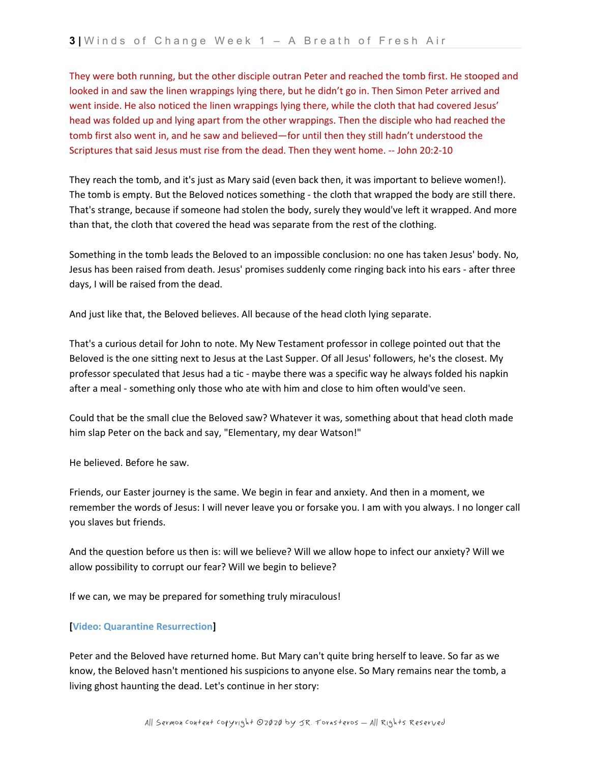They were both running, but the other disciple outran Peter and reached the tomb first. He stooped and looked in and saw the linen wrappings lying there, but he didn't go in. Then Simon Peter arrived and went inside. He also noticed the linen wrappings lying there, while the cloth that had covered Jesus' head was folded up and lying apart from the other wrappings. Then the disciple who had reached the tomb first also went in, and he saw and believed—for until then they still hadn't understood the Scriptures that said Jesus must rise from the dead. Then they went home. -- John 20:2-10

They reach the tomb, and it's just as Mary said (even back then, it was important to believe women!). The tomb is empty. But the Beloved notices something - the cloth that wrapped the body are still there. That's strange, because if someone had stolen the body, surely they would've left it wrapped. And more than that, the cloth that covered the head was separate from the rest of the clothing.

Something in the tomb leads the Beloved to an impossible conclusion: no one has taken Jesus' body. No, Jesus has been raised from death. Jesus' promises suddenly come ringing back into his ears - after three days, I will be raised from the dead.

And just like that, the Beloved believes. All because of the head cloth lying separate.

That's a curious detail for John to note. My New Testament professor in college pointed out that the Beloved is the one sitting next to Jesus at the Last Supper. Of all Jesus' followers, he's the closest. My professor speculated that Jesus had a tic - maybe there was a specific way he always folded his napkin after a meal - something only those who ate with him and close to him often would've seen.

Could that be the small clue the Beloved saw? Whatever it was, something about that head cloth made him slap Peter on the back and say, "Elementary, my dear Watson!"

He believed. Before he saw.

Friends, our Easter journey is the same. We begin in fear and anxiety. And then in a moment, we remember the words of Jesus: I will never leave you or forsake you. I am with you always. I no longer call you slaves but friends.

And the question before us then is: will we believe? Will we allow hope to infect our anxiety? Will we allow possibility to corrupt our fear? Will we begin to believe?

If we can, we may be prepared for something truly miraculous!

# **[Video: Quarantine Resurrection]**

Peter and the Beloved have returned home. But Mary can't quite bring herself to leave. So far as we know, the Beloved hasn't mentioned his suspicions to anyone else. So Mary remains near the tomb, a living ghost haunting the dead. Let's continue in her story: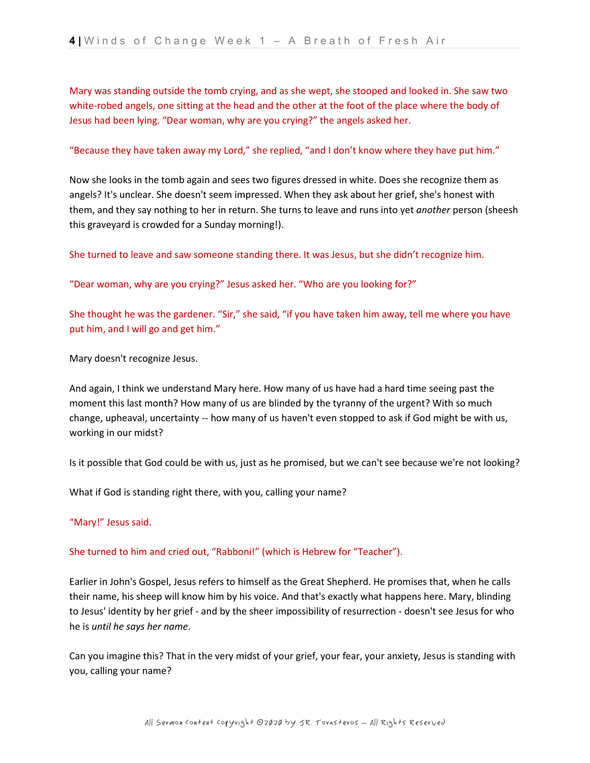Mary was standing outside the tomb crying, and as she wept, she stooped and looked in. She saw two white-robed angels, one sitting at the head and the other at the foot of the place where the body of Jesus had been lying. "Dear woman, why are you crying?" the angels asked her.

# "Because they have taken away my Lord," she replied, "and I don't know where they have put him."

Now she looks in the tomb again and sees two figures dressed in white. Does she recognize them as angels? It's unclear. She doesn't seem impressed. When they ask about her grief, she's honest with them, and they say nothing to her in return. She turns to leave and runs into yet *another* person (sheesh this graveyard is crowded for a Sunday morning!).

She turned to leave and saw someone standing there. It was Jesus, but she didn't recognize him.

"Dear woman, why are you crying?" Jesus asked her. "Who are you looking for?"

She thought he was the gardener. "Sir," she said, "if you have taken him away, tell me where you have put him, and I will go and get him."

Mary doesn't recognize Jesus.

And again, I think we understand Mary here. How many of us have had a hard time seeing past the moment this last month? How many of us are blinded by the tyranny of the urgent? With so much change, upheaval, uncertainty -- how many of us haven't even stopped to ask if God might be with us, working in our midst?

Is it possible that God could be with us, just as he promised, but we can't see because we're not looking?

What if God is standing right there, with you, calling your name?

"Mary!" Jesus said.

# She turned to him and cried out, "Rabboni!" (which is Hebrew for "Teacher").

Earlier in John's Gospel, Jesus refers to himself as the Great Shepherd. He promises that, when he calls their name, his sheep will know him by his voice. And that's exactly what happens here. Mary, blinding to Jesus' identity by her grief - and by the sheer impossibility of resurrection - doesn't see Jesus for who he is *until he says her name*.

Can you imagine this? That in the very midst of your grief, your fear, your anxiety, Jesus is standing with you, calling your name?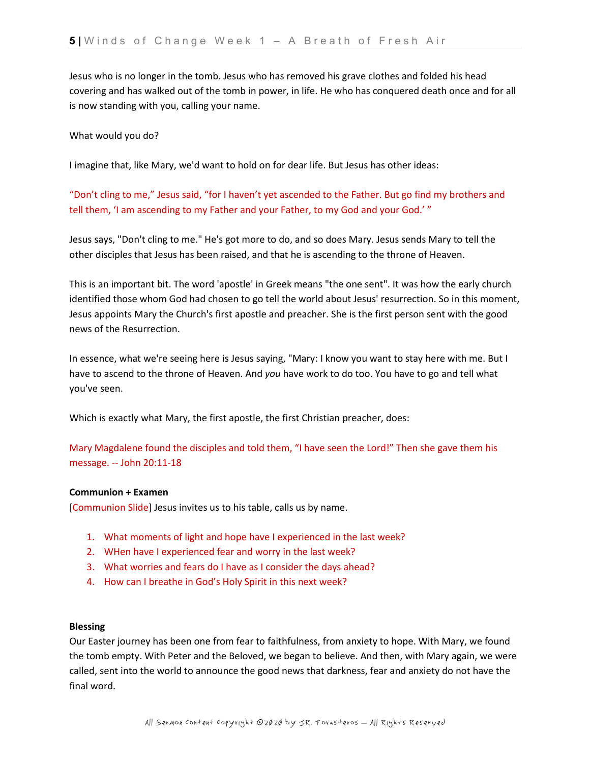Jesus who is no longer in the tomb. Jesus who has removed his grave clothes and folded his head covering and has walked out of the tomb in power, in life. He who has conquered death once and for all is now standing with you, calling your name.

What would you do?

I imagine that, like Mary, we'd want to hold on for dear life. But Jesus has other ideas:

"Don't cling to me," Jesus said, "for I haven't yet ascended to the Father. But go find my brothers and tell them, 'I am ascending to my Father and your Father, to my God and your God.' "

Jesus says, "Don't cling to me." He's got more to do, and so does Mary. Jesus sends Mary to tell the other disciples that Jesus has been raised, and that he is ascending to the throne of Heaven.

This is an important bit. The word 'apostle' in Greek means "the one sent". It was how the early church identified those whom God had chosen to go tell the world about Jesus' resurrection. So in this moment, Jesus appoints Mary the Church's first apostle and preacher. She is the first person sent with the good news of the Resurrection.

In essence, what we're seeing here is Jesus saying, "Mary: I know you want to stay here with me. But I have to ascend to the throne of Heaven. And *you* have work to do too. You have to go and tell what you've seen.

Which is exactly what Mary, the first apostle, the first Christian preacher, does:

Mary Magdalene found the disciples and told them, "I have seen the Lord!" Then she gave them his message. -- John 20:11-18

# **Communion + Examen**

[Communion Slide] Jesus invites us to his table, calls us by name.

- 1. What moments of light and hope have I experienced in the last week?
- 2. WHen have I experienced fear and worry in the last week?
- 3. What worries and fears do I have as I consider the days ahead?
- 4. How can I breathe in God's Holy Spirit in this next week?

# **Blessing**

Our Easter journey has been one from fear to faithfulness, from anxiety to hope. With Mary, we found the tomb empty. With Peter and the Beloved, we began to believe. And then, with Mary again, we were called, sent into the world to announce the good news that darkness, fear and anxiety do not have the final word.